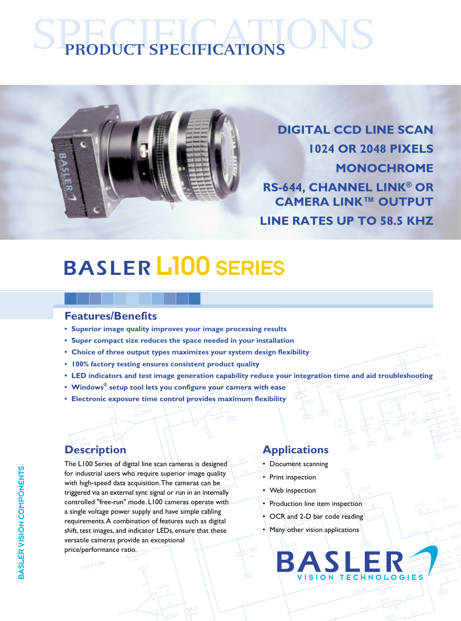# SPECIFICATIONS **PRODUCT SPECIFICATIONS**



**DIGITAL CCD LINE SCAN 1024 OR 2048 PIXELS MONOCHROME RS-644, CHANNEL LINK® OR CAMERA LINK™ OUTPUT LINE RATES UP TO 58.5 KHZ**

## L100 SERIES

#### **Features/Benefits**

- **• Superior image quality improves your image processing results**
- **• Super compact size reduces the space needed in your installation**
- **Choice of three output types maximizes your system design flexibility**
- **• 100% factory testing ensures consistent product quality**
- **LED indicators and test image generation capability reduce your integration time and aid troubleshooting**
- **Windows® setup tool lets you configure your camera with ease**
- **Electronic exposure time control provides maximum flexibility**

VREFTO

The L100 Series of digital line scan cameras is designed for industrial users who require superior image quality with high-speed data acquisition. The cameras can be triggered via an external sync signal or run in an internally controlled "free-run" mode. L100 cameras operate with a single voltage power supply and have simple cabling requirements. A combination of features such as digital shift, test images, and indicator LEDs, ensure that these versatile cameras provide an exceptional price/performance ratio.

### **Description Applications**

- Document scanning
- Print inspection
- Web inspection
- Production line item inspection
- OCR and 2-D bar code reading
- Many other vision applications